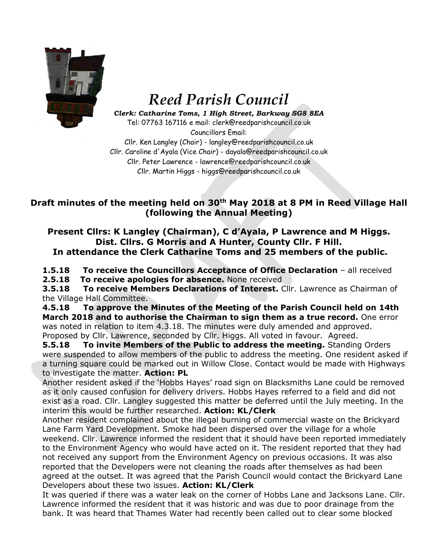

## *Reed Parish Council*

*Clerk: Catharine Toms, 1 High Street, Barkway SG8 8EA* Tel: 07763 167116 e mail: clerk@reedparishcouncil.co.uk Councillors Email:

Cllr. Ken Langley (Chair) - langley@reedparishcouncil.co.uk Cllr. Caroline d'Ayala (Vice Chair) - dayala@reedparishcouncil.co.uk Cllr. Peter Lawrence - lawrence@reedparishcouncil.co.uk Cllr. Martin Higgs - higgs@reedparishcouncil.co.uk

## **Draft minutes of the meeting held on 30th May 2018 at 8 PM in Reed Village Hall (following the Annual Meeting)**

**Present Cllrs: K Langley (Chairman), C d'Ayala, P Lawrence and M Higgs. Dist. Cllrs. G Morris and A Hunter, County Cllr. F Hill. In attendance the Clerk Catharine Toms and 25 members of the public.**

**1.5.18 To receive the Councillors Acceptance of Office Declaration** – all received

**2.5.18 To receive apologies for absence.** None received

**3.5.18 To receive Members Declarations of Interest.** Cllr. Lawrence as Chairman of the Village Hall Committee.

**4.5.18 To approve the Minutes of the Meeting of the Parish Council held on 14th March 2018 and to authorise the Chairman to sign them as a true record.** One error was noted in relation to item 4.3.18. The minutes were duly amended and approved. Proposed by Cllr. Lawrence, seconded by Cllr. Higgs. All voted in favour. Agreed.

**5.5.18 To invite Members of the Public to address the meeting.** Standing Orders were suspended to allow members of the public to address the meeting. One resident asked if a turning square could be marked out in Willow Close. Contact would be made with Highways to investigate the matter. **Action: PL**

Another resident asked if the 'Hobbs Hayes' road sign on Blacksmiths Lane could be removed as it only caused confusion for delivery drivers. Hobbs Hayes referred to a field and did not exist as a road. Cllr. Langley suggested this matter be deferred until the July meeting. In the interim this would be further researched. **Action: KL/Clerk**

Another resident complained about the illegal burning of commercial waste on the Brickyard Lane Farm Yard Development. Smoke had been dispersed over the village for a whole weekend. Cllr. Lawrence informed the resident that it should have been reported immediately to the Environment Agency who would have acted on it. The resident reported that they had not received any support from the Environment Agency on previous occasions. It was also reported that the Developers were not cleaning the roads after themselves as had been agreed at the outset. It was agreed that the Parish Council would contact the Brickyard Lane Developers about these two issues. **Action: KL/Clerk**

It was queried if there was a water leak on the corner of Hobbs Lane and Jacksons Lane. Cllr. Lawrence informed the resident that it was historic and was due to poor drainage from the bank. It was heard that Thames Water had recently been called out to clear some blocked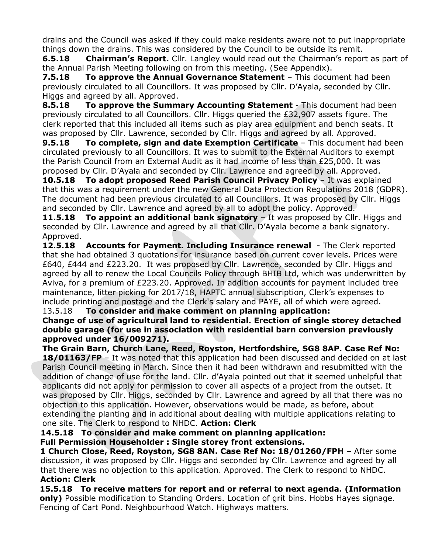drains and the Council was asked if they could make residents aware not to put inappropriate things down the drains. This was considered by the Council to be outside its remit.

**6.5.18 Chairman's Report.** Cllr. Langley would read out the Chairman's report as part of the Annual Parish Meeting following on from this meeting. (See Appendix).

**7.5.18 To approve the Annual Governance Statement** – This document had been previously circulated to all Councillors. It was proposed by Cllr. D'Ayala, seconded by Cllr. Higgs and agreed by all. Approved.

**8.5.18 To approve the Summary Accounting Statement** - This document had been previously circulated to all Councillors. Cllr. Higgs queried the £32,907 assets figure. The clerk reported that this included all items such as play area equipment and bench seats. It was proposed by Cllr. Lawrence, seconded by Cllr. Higgs and agreed by all. Approved.

**9.5.18 To complete, sign and date Exemption Certificate** – This document had been circulated previously to all Councillors. It was to submit to the External Auditors to exempt the Parish Council from an External Audit as it had income of less than £25,000. It was proposed by Cllr. D'Ayala and seconded by Cllr. Lawrence and agreed by all. Approved.

**10.5.18 To adopt proposed Reed Parish Council Privacy Policy** – It was explained that this was a requirement under the new General Data Protection Regulations 2018 (GDPR). The document had been previous circulated to all Councillors. It was proposed by Cllr. Higgs and seconded by Cllr. Lawrence and agreed by all to adopt the policy. Approved.

**11.5.18 To appoint an additional bank signatory** - It was proposed by Cllr. Higgs and seconded by Cllr. Lawrence and agreed by all that Cllr. D'Ayala become a bank signatory. Approved.

**12.5.18 Accounts for Payment. Including Insurance renewal** - The Clerk reported that she had obtained 3 quotations for insurance based on current cover levels. Prices were £640, £444 and £223.20. It was proposed by Cllr. Lawrence, seconded by Cllr. Higgs and agreed by all to renew the Local Councils Policy through BHIB Ltd, which was underwritten by Aviva, for a premium of £223.20. Approved. In addition accounts for payment included tree maintenance, litter picking for 2017/18, HAPTC annual subscription, Clerk's expenses to include printing and postage and the Clerk's salary and PAYE, all of which were agreed.

13.5.18 **To consider and make comment on planning application:**

**Change of use of agricultural land to residential. Erection of single storey detached double garage (for use in association with residential barn conversion previously approved under 16/009271).**

**The Grain Barn, Church Lane, Reed, Royston, Hertfordshire, SG8 8AP. Case Ref No:**  18/01163/FP – It was noted that this application had been discussed and decided on at last Parish Council meeting in March. Since then it had been withdrawn and resubmitted with the addition of change of use for the land. Cllr. d'Ayala pointed out that it seemed unhelpful that applicants did not apply for permission to cover all aspects of a project from the outset. It was proposed by Cllr. Higgs, seconded by Cllr. Lawrence and agreed by all that there was no objection to this application. However, observations would be made, as before, about extending the planting and in additional about dealing with multiple applications relating to one site. The Clerk to respond to NHDC. **Action: Clerk**

**14.5.18 To consider and make comment on planning application:**

 **Full Permission Householder : Single storey front extensions.**

 **1 Church Close, Reed, Royston, SG8 8AN. Case Ref No: 18/01260/FPH** – After some discussion, it was proposed by Cllr. Higgs and seconded by Cllr. Lawrence and agreed by all that there was no objection to this application. Approved. The Clerk to respond to NHDC.  **Action: Clerk**

**15.5.18 To receive matters for report and or referral to next agenda. (Information only)** Possible modification to Standing Orders. Location of grit bins. Hobbs Hayes signage. Fencing of Cart Pond. Neighbourhood Watch. Highways matters.